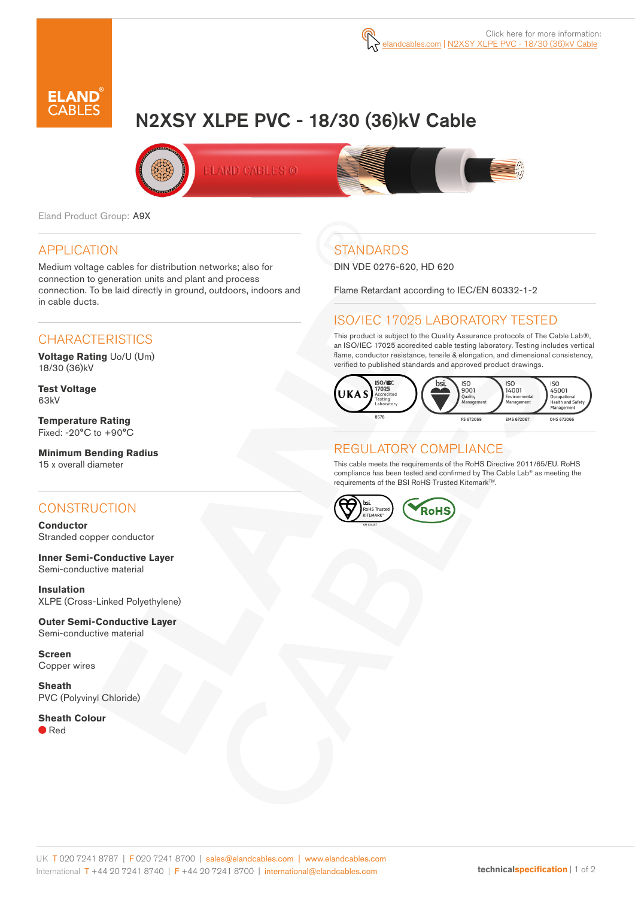

# N2XSY XLPE PVC - 18/30 (36)kV Cable



Eland Product Group: A9X

#### APPLICATION

Medium voltage cables for distribution networks; also for connection to generation units and plant and process connection. To be laid directly in ground, outdoors, indoors and in cable ducts.

### **CHARACTERISTICS**

**Voltage Rating** Uo/U (Um) 18/30 (36)kV

**Test Voltage** 63kV

**Temperature Rating** Fixed: -20°C to +90°C

**Minimum Bending Radius**  15 x overall diameter

### **CONSTRUCTION**

**Conductor** Stranded copper conductor

**Inner Semi-Conductive Layer** Semi-conductive material

**Insulation** XLPE (Cross-Linked Polyethylene)

**Outer Semi-Conductive Layer**  Semi-conductive material

**Screen** Copper wires

**Sheath** PVC (Polyvinyl Chloride)

**Sheath Colour** ● Red

# **STANDARDS**

DIN VDE 0276-620, HD 620

Flame Retardant according to IEC/EN 60332-1-2

# ISO/IEC 17025 LABORATORY TESTED

This product is subject to the Quality Assurance protocols of The Cable Lab®, an ISO/IEC 17025 accredited cable testing laboratory. Testing includes vertical flame, conductor resistance, tensile & elongation, and dimensional consistency, verified to published standards and approved product drawings.



### REGULATORY COMPLIANCE

This cable meets the requirements of the RoHS Directive 2011/65/EU. RoHS compliance has been tested and confirmed by The Cable Lab® as meeting the requirements of the BSI RoHS Trusted Kitemark™.